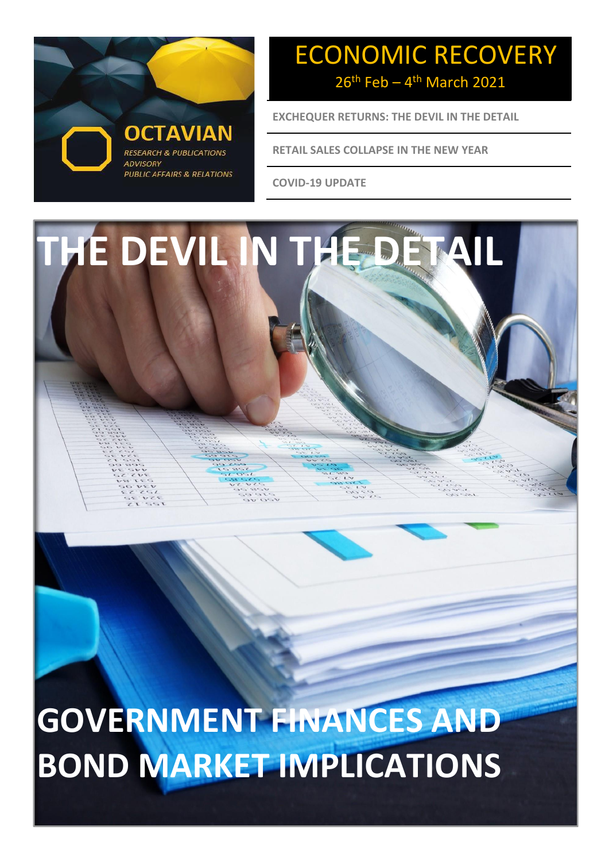

## ECONOMIC RECOVERY  $26<sup>th</sup>$  Feb – 4<sup>th</sup> March 2021

**EXCHEQUER RETURNS: THE DEVIL IN THE DETAIL**

**RETAIL SALES COLLAPSE IN THE NEW YEAR**

**COVID-19 UPDATE**



**GOVERNMENT FINANCES AND BOND MARKET IMPLICATIONS**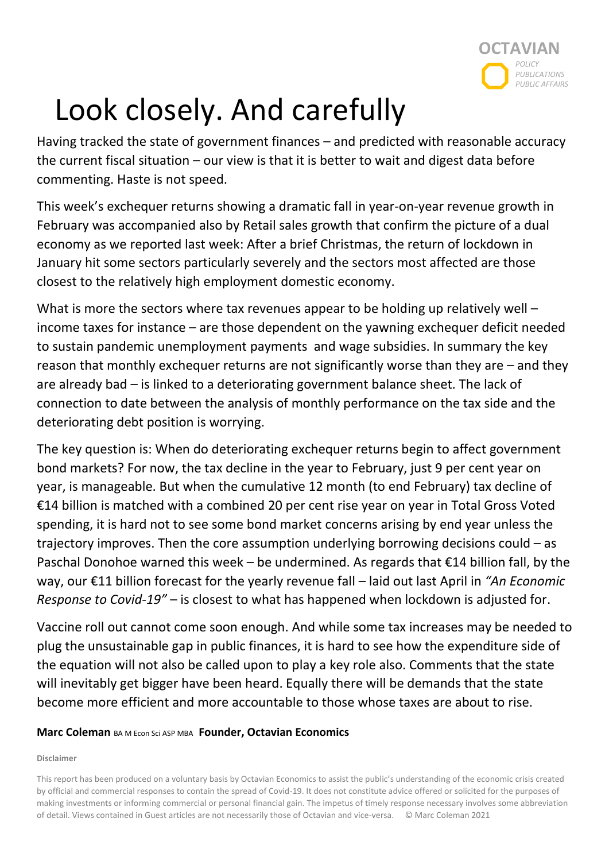

# Look closely. And carefully

Having tracked the state of government finances – and predicted with reasonable accuracy the current fiscal situation – our view is that it is better to wait and digest data before commenting. Haste is not speed.

This week's exchequer returns showing a dramatic fall in year-on-year revenue growth in February was accompanied also by Retail sales growth that confirm the picture of a dual economy as we reported last week: After a brief Christmas, the return of lockdown in January hit some sectors particularly severely and the sectors most affected are those closest to the relatively high employment domestic economy.

What is more the sectors where tax revenues appear to be holding up relatively well – income taxes for instance – are those dependent on the yawning exchequer deficit needed to sustain pandemic unemployment payments and wage subsidies. In summary the key reason that monthly exchequer returns are not significantly worse than they are – and they are already bad – is linked to a deteriorating government balance sheet. The lack of connection to date between the analysis of monthly performance on the tax side and the deteriorating debt position is worrying.

The key question is: When do deteriorating exchequer returns begin to affect government bond markets? For now, the tax decline in the year to February, just 9 per cent year on year, is manageable. But when the cumulative 12 month (to end February) tax decline of €14 billion is matched with a combined 20 per cent rise year on year in Total Gross Voted spending, it is hard not to see some bond market concerns arising by end year unless the trajectory improves. Then the core assumption underlying borrowing decisions could – as Paschal Donohoe warned this week – be undermined. As regards that €14 billion fall, by the way, our €11 billion forecast for the yearly revenue fall – laid out last April in *"An Economic Response to Covid-19"* – is closest to what has happened when lockdown is adjusted for.

Vaccine roll out cannot come soon enough. And while some tax increases may be needed to plug the unsustainable gap in public finances, it is hard to see how the expenditure side of the equation will not also be called upon to play a key role also. Comments that the state will inevitably get bigger have been heard. Equally there will be demands that the state become more efficient and more accountable to those whose taxes are about to rise.

#### **Marc Coleman** BA M Econ Sci ASP MBA **Founder, Octavian Economics**

#### **Disclaimer**

This report has been produced on a voluntary basis by Octavian Economics to assist the public's understanding of the economic crisis created by official and commercial responses to contain the spread of Covid-19. It does not constitute advice offered or solicited for the purposes of making investments or informing commercial or personal financial gain. The impetus of timely response necessary involves some abbreviation of detail. Views contained in Guest articles are not necessarily those of Octavian and vice-versa. © Marc Coleman 2021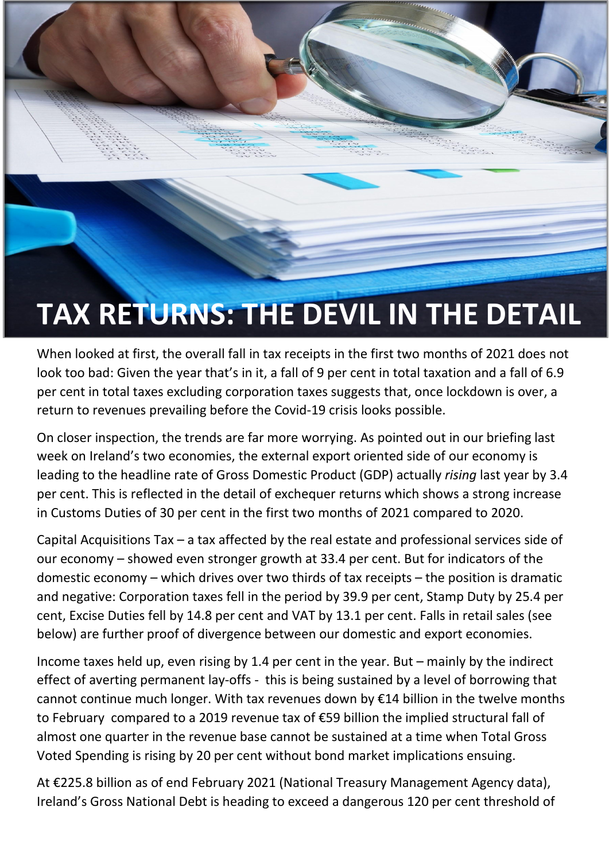# **TAX RETURNS: THE DEVIL IN THE DETAIL**

When looked at first, the overall fall in tax receipts in the first two months of 2021 does not look too bad: Given the year that's in it, a fall of 9 per cent in total taxation and a fall of 6.9 per cent in total taxes excluding corporation taxes suggests that, once lockdown is over, a return to revenues prevailing before the Covid-19 crisis looks possible.

On closer inspection, the trends are far more worrying. As pointed out in our briefing last week on Ireland's two economies, the external export oriented side of our economy is leading to the headline rate of Gross Domestic Product (GDP) actually *rising* last year by 3.4 per cent. This is reflected in the detail of exchequer returns which shows a strong increase in Customs Duties of 30 per cent in the first two months of 2021 compared to 2020.

Capital Acquisitions Tax – a tax affected by the real estate and professional services side of our economy – showed even stronger growth at 33.4 per cent. But for indicators of the domestic economy – which drives over two thirds of tax receipts – the position is dramatic and negative: Corporation taxes fell in the period by 39.9 per cent, Stamp Duty by 25.4 per cent, Excise Duties fell by 14.8 per cent and VAT by 13.1 per cent. Falls in retail sales (see below) are further proof of divergence between our domestic and export economies.

Income taxes held up, even rising by 1.4 per cent in the year. But – mainly by the indirect effect of averting permanent lay-offs - this is being sustained by a level of borrowing that cannot continue much longer. With tax revenues down by €14 billion in the twelve months to February compared to a 2019 revenue tax of €59 billion the implied structural fall of almost one quarter in the revenue base cannot be sustained at a time when Total Gross Voted Spending is rising by 20 per cent without bond market implications ensuing.

At €225.8 billion as of end February 2021 (National Treasury Management Agency data), Ireland's Gross National Debt is heading to exceed a dangerous 120 per cent threshold of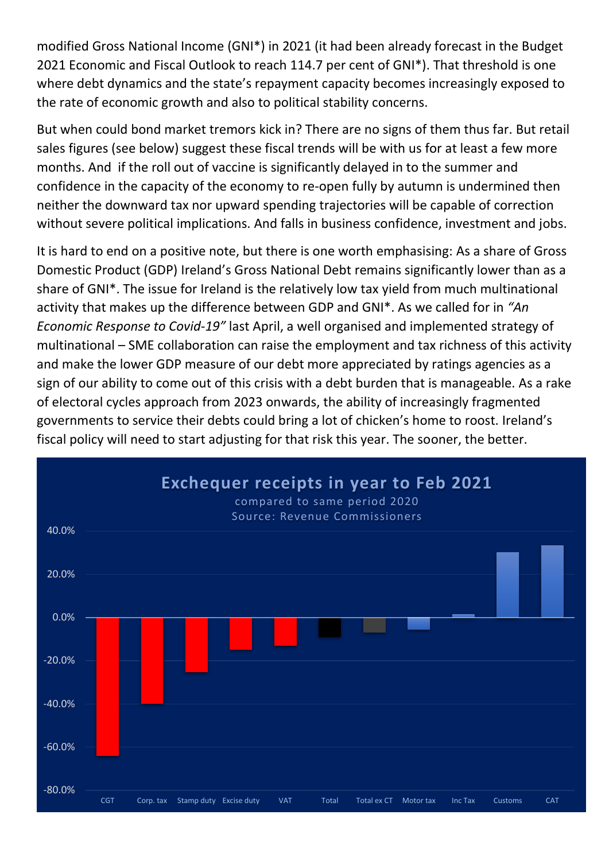modified Gross National Income (GNI\*) in 2021 (it had been already forecast in the Budget 2021 Economic and Fiscal Outlook to reach 114.7 per cent of GNI\*). That threshold is one where debt dynamics and the state's repayment capacity becomes increasingly exposed to the rate of economic growth and also to political stability concerns.

But when could bond market tremors kick in? There are no signs of them thus far. But retail sales figures (see below) suggest these fiscal trends will be with us for at least a few more months. And if the roll out of vaccine is significantly delayed in to the summer and confidence in the capacity of the economy to re-open fully by autumn is undermined then neither the downward tax nor upward spending trajectories will be capable of correction without severe political implications. And falls in business confidence, investment and jobs.

It is hard to end on a positive note, but there is one worth emphasising: As a share of Gross Domestic Product (GDP) Ireland's Gross National Debt remains significantly lower than as a share of GNI\*. The issue for Ireland is the relatively low tax yield from much multinational activity that makes up the difference between GDP and GNI\*. As we called for in *"An Economic Response to Covid-19"* last April, a well organised and implemented strategy of multinational – SME collaboration can raise the employment and tax richness of this activity and make the lower GDP measure of our debt more appreciated by ratings agencies as a sign of our ability to come out of this crisis with a debt burden that is manageable. As a rake of electoral cycles approach from 2023 onwards, the ability of increasingly fragmented governments to service their debts could bring a lot of chicken's home to roost. Ireland's fiscal policy will need to start adjusting for that risk this year. The sooner, the better.

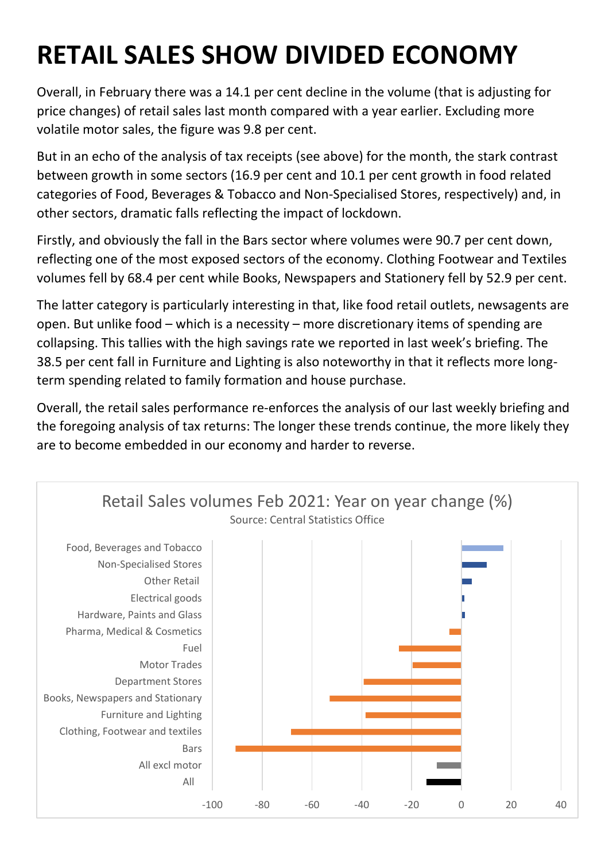## **RETAIL SALES SHOW DIVIDED ECONOMY**

Overall, in February there was a 14.1 per cent decline in the volume (that is adjusting for price changes) of retail sales last month compared with a year earlier. Excluding more volatile motor sales, the figure was 9.8 per cent.

But in an echo of the analysis of tax receipts (see above) for the month, the stark contrast between growth in some sectors (16.9 per cent and 10.1 per cent growth in food related categories of Food, Beverages & Tobacco and Non-Specialised Stores, respectively) and, in other sectors, dramatic falls reflecting the impact of lockdown.

Firstly, and obviously the fall in the Bars sector where volumes were 90.7 per cent down, reflecting one of the most exposed sectors of the economy. Clothing Footwear and Textiles volumes fell by 68.4 per cent while Books, Newspapers and Stationery fell by 52.9 per cent.

The latter category is particularly interesting in that, like food retail outlets, newsagents are open. But unlike food – which is a necessity – more discretionary items of spending are collapsing. This tallies with the high savings rate we reported in last week's briefing. The 38.5 per cent fall in Furniture and Lighting is also noteworthy in that it reflects more longterm spending related to family formation and house purchase.

Overall, the retail sales performance re-enforces the analysis of our last weekly briefing and the foregoing analysis of tax returns: The longer these trends continue, the more likely they are to become embedded in our economy and harder to reverse.

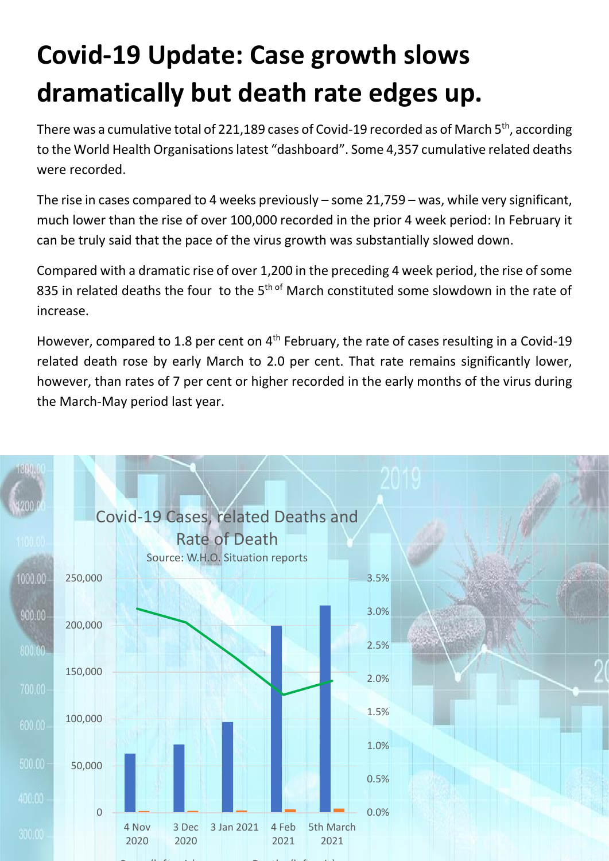# **Covid-19 Update: Case growth slows dramatically but death rate edges up.**

There was a cumulative total of 221,189 cases of Covid-19 recorded as of March 5<sup>th</sup>, according to the World Health Organisations latest "dashboard". Some 4,357 cumulative related deaths were recorded.

The rise in cases compared to 4 weeks previously – some 21,759 – was, while very significant, much lower than the rise of over 100,000 recorded in the prior 4 week period: In February it can be truly said that the pace of the virus growth was substantially slowed down.

Compared with a dramatic rise of over 1,200 in the preceding 4 week period, the rise of some 835 in related deaths the four to the  $5<sup>th of</sup>$  March constituted some slowdown in the rate of increase.

However, compared to 1.8 per cent on  $4<sup>th</sup>$  February, the rate of cases resulting in a Covid-19 related death rose by early March to 2.0 per cent. That rate remains significantly lower, however, than rates of 7 per cent or higher recorded in the early months of the virus during the March-May period last year.